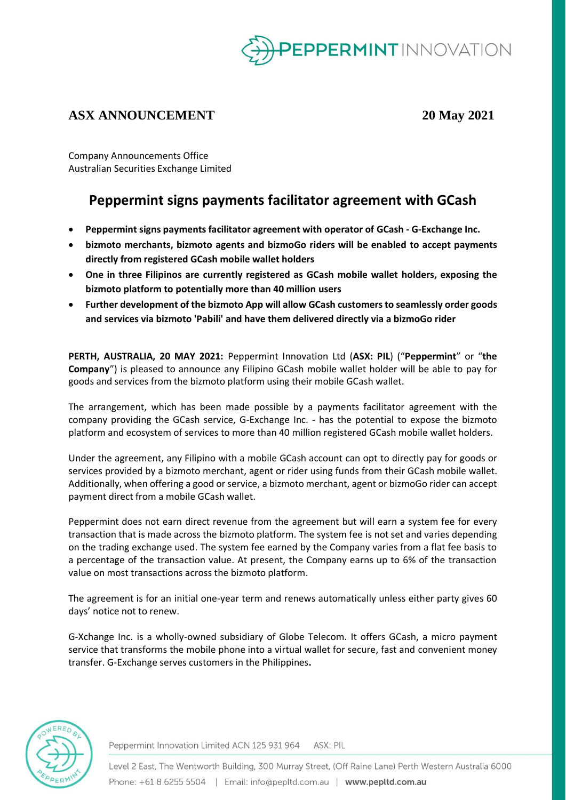

## **ASX ANNOUNCEMENT 20 May 2021**

Company Announcements Office Australian Securities Exchange Limited

# **Peppermint signs payments facilitator agreement with GCash**

- **Peppermint signs payments facilitator agreement with operator of GCash - G-Exchange Inc.**
- **bizmoto merchants, bizmoto agents and bizmoGo riders will be enabled to accept payments directly from registered GCash mobile wallet holders**
- **One in three Filipinos are currently registered as GCash mobile wallet holders, exposing the bizmoto platform to potentially more than 40 million users**
- **Further development of the bizmoto App will allow GCash customers to seamlessly order goods and services via bizmoto 'Pabili' and have them delivered directly via a bizmoGo rider**

**PERTH, AUSTRALIA, 20 MAY 2021:** Peppermint Innovation Ltd (**ASX: PIL**) ("**Peppermint**" or "**the Company**") is pleased to announce any Filipino GCash mobile wallet holder will be able to pay for goods and services from the bizmoto platform using their mobile GCash wallet.

The arrangement, which has been made possible by a payments facilitator agreement with the company providing the GCash service, G-Exchange Inc. - has the potential to expose the bizmoto platform and ecosystem of services to more than 40 million registered GCash mobile wallet holders.

Under the agreement, any Filipino with a mobile GCash account can opt to directly pay for goods or services provided by a bizmoto merchant, agent or rider using funds from their GCash mobile wallet. Additionally, when offering a good or service, a bizmoto merchant, agent or bizmoGo rider can accept payment direct from a mobile GCash wallet.

Peppermint does not earn direct revenue from the agreement but will earn a system fee for every transaction that is made across the bizmoto platform. The system fee is not set and varies depending on the trading exchange used. The system fee earned by the Company varies from a flat fee basis to a percentage of the transaction value. At present, the Company earns up to 6% of the transaction value on most transactions across the bizmoto platform.

The agreement is for an initial one-year term and renews automatically unless either party gives 60 days' notice not to renew.

G-Xchange Inc. is a wholly-owned subsidiary of Globe Telecom. It offers GCash, a micro payment service that transforms the mobile phone into a virtual wallet for secure, fast and convenient money transfer. G-Exchange serves customers in the Philippines**.**



Peppermint Innovation Limited ACN 125 931 964 ASX: PIL